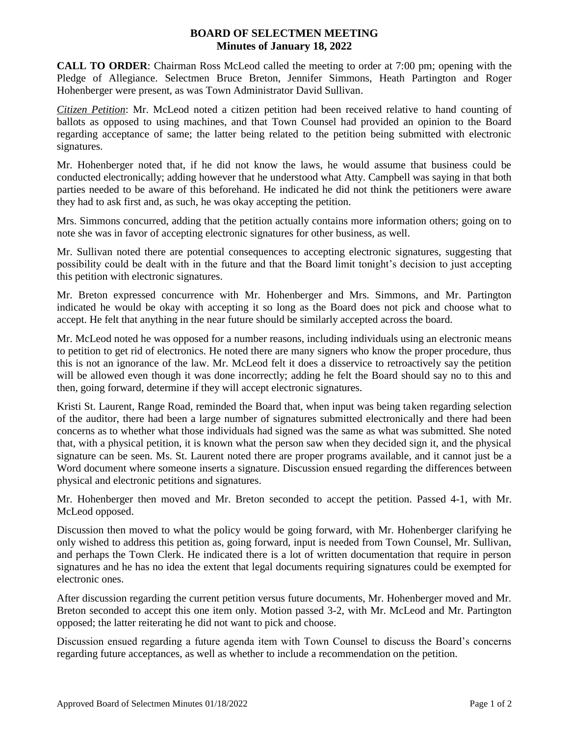## **BOARD OF SELECTMEN MEETING Minutes of January 18, 2022**

**CALL TO ORDER**: Chairman Ross McLeod called the meeting to order at 7:00 pm; opening with the Pledge of Allegiance. Selectmen Bruce Breton, Jennifer Simmons, Heath Partington and Roger Hohenberger were present, as was Town Administrator David Sullivan.

*Citizen Petition*: Mr. McLeod noted a citizen petition had been received relative to hand counting of ballots as opposed to using machines, and that Town Counsel had provided an opinion to the Board regarding acceptance of same; the latter being related to the petition being submitted with electronic signatures.

Mr. Hohenberger noted that, if he did not know the laws, he would assume that business could be conducted electronically; adding however that he understood what Atty. Campbell was saying in that both parties needed to be aware of this beforehand. He indicated he did not think the petitioners were aware they had to ask first and, as such, he was okay accepting the petition.

Mrs. Simmons concurred, adding that the petition actually contains more information others; going on to note she was in favor of accepting electronic signatures for other business, as well.

Mr. Sullivan noted there are potential consequences to accepting electronic signatures, suggesting that possibility could be dealt with in the future and that the Board limit tonight's decision to just accepting this petition with electronic signatures.

Mr. Breton expressed concurrence with Mr. Hohenberger and Mrs. Simmons, and Mr. Partington indicated he would be okay with accepting it so long as the Board does not pick and choose what to accept. He felt that anything in the near future should be similarly accepted across the board.

Mr. McLeod noted he was opposed for a number reasons, including individuals using an electronic means to petition to get rid of electronics. He noted there are many signers who know the proper procedure, thus this is not an ignorance of the law. Mr. McLeod felt it does a disservice to retroactively say the petition will be allowed even though it was done incorrectly; adding he felt the Board should say no to this and then, going forward, determine if they will accept electronic signatures.

Kristi St. Laurent, Range Road, reminded the Board that, when input was being taken regarding selection of the auditor, there had been a large number of signatures submitted electronically and there had been concerns as to whether what those individuals had signed was the same as what was submitted. She noted that, with a physical petition, it is known what the person saw when they decided sign it, and the physical signature can be seen. Ms. St. Laurent noted there are proper programs available, and it cannot just be a Word document where someone inserts a signature. Discussion ensued regarding the differences between physical and electronic petitions and signatures.

Mr. Hohenberger then moved and Mr. Breton seconded to accept the petition. Passed 4-1, with Mr. McLeod opposed.

Discussion then moved to what the policy would be going forward, with Mr. Hohenberger clarifying he only wished to address this petition as, going forward, input is needed from Town Counsel, Mr. Sullivan, and perhaps the Town Clerk. He indicated there is a lot of written documentation that require in person signatures and he has no idea the extent that legal documents requiring signatures could be exempted for electronic ones.

After discussion regarding the current petition versus future documents, Mr. Hohenberger moved and Mr. Breton seconded to accept this one item only. Motion passed 3-2, with Mr. McLeod and Mr. Partington opposed; the latter reiterating he did not want to pick and choose.

Discussion ensued regarding a future agenda item with Town Counsel to discuss the Board's concerns regarding future acceptances, as well as whether to include a recommendation on the petition.